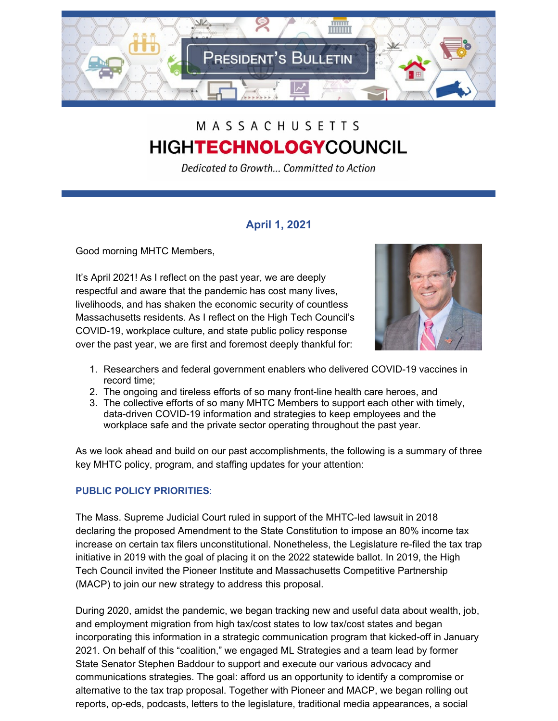

# MASSACHUSETTS **HIGHTECHNOLOGYCOUNCIL**

Dedicated to Growth... Committed to Action

## **April 1, 2021**

Good morning MHTC Members,

It's April 2021! As I reflect on the past year, we are deeply respectful and aware that the pandemic has cost many lives, livelihoods, and has shaken the economic security of countless Massachusetts residents. As I reflect on the High Tech Council's COVID-19, workplace culture, and state public policy response over the past year, we are first and foremost deeply thankful for:



- 1. Researchers and federal government enablers who delivered COVID-19 vaccines in record time;
- 2. The ongoing and tireless efforts of so many front-line health care heroes, and
- 3. The collective efforts of so many MHTC Members to support each other with timely, data-driven COVID-19 information and strategies to keep employees and the workplace safe and the private sector operating throughout the past year.

As we look ahead and build on our past accomplishments, the following is a summary of three key MHTC policy, program, and staffing updates for your attention:

## **PUBLIC POLICY PRIORITIES**:

The Mass. Supreme Judicial Court ruled in support of the MHTC-led lawsuit in 2018 declaring the proposed Amendment to the State Constitution to impose an 80% income tax increase on certain tax filers unconstitutional. Nonetheless, the Legislature re-filed the tax trap initiative in 2019 with the goal of placing it on the 2022 statewide ballot. In 2019, the High Tech Council invited the Pioneer Institute and Massachusetts Competitive Partnership (MACP) to join our new strategy to address this proposal.

During 2020, amidst the pandemic, we began tracking new and useful data about wealth, job, and employment migration from high tax/cost states to low tax/cost states and began incorporating this information in a strategic communication program that kicked-off in January 2021. On behalf of this "coalition," we engaged ML Strategies and a team lead by former State Senator Stephen Baddour to support and execute our various advocacy and communications strategies. The goal: afford us an opportunity to identify a compromise or alternative to the tax trap proposal. Together with Pioneer and MACP, we began rolling out reports, op-eds, podcasts, letters to the legislature, traditional media appearances, a social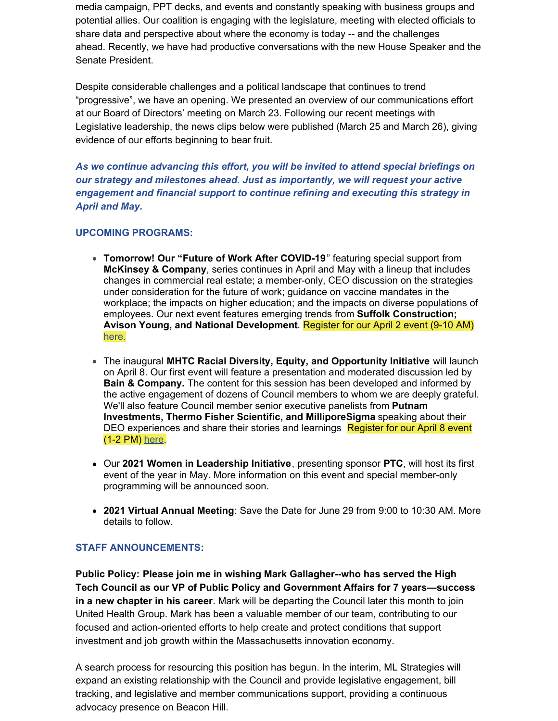media campaign, PPT decks, and events and constantly speaking with business groups and potential allies. Our coalition is engaging with the legislature, meeting with elected officials to share data and perspective about where the economy is today -- and the challenges ahead. Recently, we have had productive conversations with the new House Speaker and the Senate President.

Despite considerable challenges and a political landscape that continues to trend "progressive", we have an opening. We presented an overview of our communications effort at our Board of Directors' meeting on March 23. Following our recent meetings with Legislative leadership, the news clips below were published (March 25 and March 26), giving evidence of our efforts beginning to bear fruit.

*As we continue advancing this effort, you will be invited to attend special briefings on our strategy and milestones ahead. Just as importantly, we will request your active engagement and financial support to continue refining and executing this strategy in April and May.*

#### **UPCOMING PROGRAMS:**

- **Tomorrow! Our "Future of Work After COVID-19**" featuring special support from **McKinsey & Company**, series continues in April and May with a lineup that includes changes in commercial real estate; a member-only, CEO discussion on the strategies under consideration for the future of work; guidance on vaccine mandates in the workplace; the impacts on higher education; and the impacts on diverse populations of employees. Our next event features emerging trends from **Suffolk Construction; Avison Young, and National Development**. Register for our April 2 event (9-10 AM) [here](https://zoom.us/webinar/register/WN_fFN0EK1MReWlG7nzpxFqtg).
- The inaugural **MHTC Racial Diversity, Equity, and Opportunity Initiative** will launch on April 8. Our first event will feature a presentation and moderated discussion led by **Bain & Company.** The content for this session has been developed and informed by the active engagement of dozens of Council members to whom we are deeply grateful. We'll also feature Council member senior executive panelists from **Putnam Investments, Thermo Fisher Scientific, and MilliporeSigma** speaking about their DEO experiences and share their stories and learnings Register for our April 8 event (1-2 PM) [here](https://bain.zoom.us/webinar/register/WN_MgxmGTT2RW6e2lE2CXD32Q).
- Our **2021 Women in Leadership Initiative**, presenting sponsor **PTC**, will host its first event of the year in May. More information on this event and special member-only programming will be announced soon.
- **2021 Virtual Annual Meeting**: Save the Date for June 29 from 9:00 to 10:30 AM. More details to follow.

#### **STAFF ANNOUNCEMENTS:**

**Public Policy: Please join me in wishing Mark Gallagher--who has served the High Tech Council as our VP of Public Policy and Government Affairs for 7 years—success in a new chapter in his career**. Mark will be departing the Council later this month to join United Health Group. Mark has been a valuable member of our team, contributing to our focused and action-oriented efforts to help create and protect conditions that support investment and job growth within the Massachusetts innovation economy.

A search process for resourcing this position has begun. In the interim, ML Strategies will expand an existing relationship with the Council and provide legislative engagement, bill tracking, and legislative and member communications support, providing a continuous advocacy presence on Beacon Hill.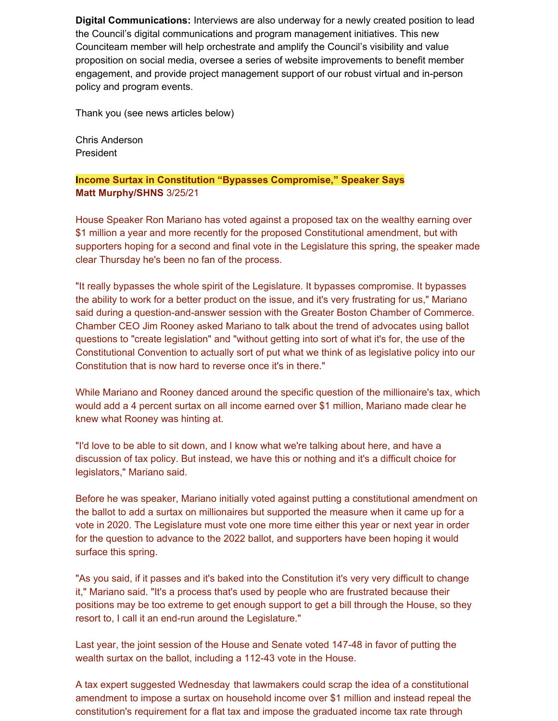**Digital Communications:** Interviews are also underway for a newly created position to lead the Council's digital communications and program management initiatives. This new Counciteam member will help orchestrate and amplify the Council's visibility and value proposition on social media, oversee a series of website improvements to benefit member engagement, and provide project management support of our robust virtual and in-person policy and program events.

Thank you (see news articles below)

Chris Anderson President

## **Income Surtax in Constitution "Bypasses Compromise," Speaker Says Matt Murphy/SHNS** 3/25/21

House Speaker Ron Mariano has voted against a proposed tax on the wealthy earning over \$1 million a year and more recently for the proposed Constitutional amendment, but with supporters hoping for a second and final vote in the Legislature this spring, the speaker made clear Thursday he's been no fan of the process.

"It really bypasses the whole spirit of the Legislature. It bypasses compromise. It bypasses the ability to work for a better product on the issue, and it's very frustrating for us," Mariano said during a question-and-answer session with the Greater Boston Chamber of Commerce. Chamber CEO Jim Rooney asked Mariano to talk about the trend of advocates using ballot questions to "create legislation" and "without getting into sort of what it's for, the use of the Constitutional Convention to actually sort of put what we think of as legislative policy into our Constitution that is now hard to reverse once it's in there."

While Mariano and Rooney danced around the specific question of the millionaire's tax, which would add a 4 percent surtax on all income earned over \$1 million, Mariano made clear he knew what Rooney was hinting at.

"I'd love to be able to sit down, and I know what we're talking about here, and have a discussion of tax policy. But instead, we have this or nothing and it's a difficult choice for legislators," Mariano said.

Before he was speaker, Mariano initially voted against putting a constitutional amendment on the ballot to add a surtax on millionaires but supported the measure when it came up for a vote in 2020. The Legislature must vote one more time either this year or next year in order for the question to advance to the 2022 ballot, and supporters have been hoping it would surface this spring.

"As you said, if it passes and it's baked into the Constitution it's very very difficult to change it," Mariano said. "It's a process that's used by people who are frustrated because their positions may be too extreme to get enough support to get a bill through the House, so they resort to, I call it an end-run around the Legislature."

Last year, the joint session of the House and Senate voted 147-48 in favor of putting the wealth surtax on the ballot, including a 112-43 vote in the House.

A tax expert suggested [Wednesday](https://link.edgepilot.com/s/b8fd107c/6J9QDfS8_k__xU6nGu6N-A?u=https://urldefense.com/v3/__https:/www.statehousenews.com/news/2021583__%3B!!I_DAcRZv!94Cylf_ryBMPznYrgVLrsOu2jH0YkoP_oCVCPBbFNGadmZais6pXptwReQRO31tM%24) that lawmakers could scrap the idea of a constitutional amendment to impose a surtax on household income over \$1 million and instead repeal the constitution's requirement for a flat tax and impose the graduated income tax rate through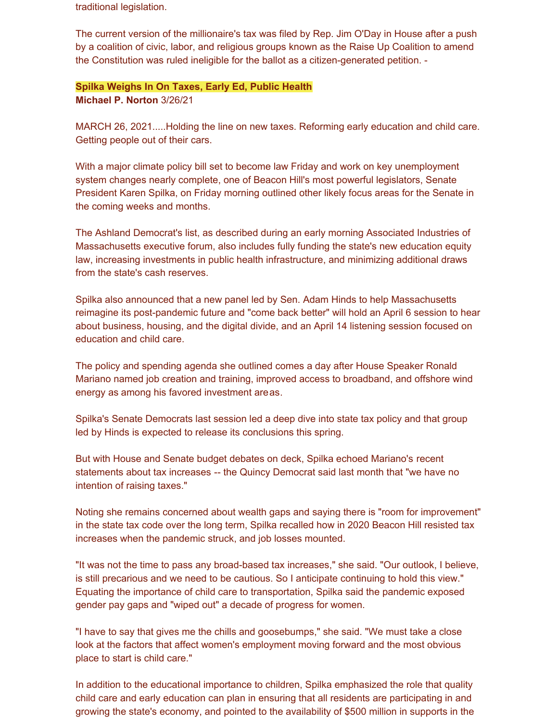traditional legislation.

The current version of the millionaire's tax was filed by Rep. Jim O'Day in House after a push by a coalition of civic, labor, and religious groups known as the Raise Up Coalition to amend the Constitution was ruled ineligible for the ballot as a citizen-generated petition. -

#### **Spilka Weighs In On Taxes, Early Ed, Public Health**

**Michael P. Norton** 3/26/21

MARCH 26, 2021.....Holding the line on new taxes. Reforming early education and child care. Getting people out of their cars.

With a major climate policy bill set to become law Friday and work on key unemployment system changes nearly complete, one of Beacon Hill's most powerful legislators, Senate President Karen Spilka, on Friday morning outlined other likely focus areas for the Senate in the coming weeks and months.

The Ashland Democrat's list, as described during an early morning Associated Industries of Massachusetts executive forum, also includes fully funding the state's new education equity law, increasing investments in public health infrastructure, and minimizing additional draws from the state's cash reserves.

Spilka also announced that a new panel led by Sen. Adam Hinds to help Massachusetts reimagine its post-pandemic future and "come back better" will hold an April 6 session to hear about business, housing, and the digital divide, and an April 14 listening session focused on education and child care.

The policy and spending agenda she outlined comes a day after House Speaker Ronald Mariano named job creation and training, improved access to broadband, and offshore wind energy as among his favored [investment](https://link.edgepilot.com/s/bf2fcbde/Ee0b_zH-1Eimn9IFBQOU2Q?u=https://www.statehousenews.com/news/2021589) are[as](https://link.edgepilot.com/s/bf2fcbde/Ee0b_zH-1Eimn9IFBQOU2Q?u=https://www.statehousenews.com/news/2021589).

Spilka's Senate Democrats last session led a deep dive into state tax policy and that group led by Hinds is expected to release its conclusions this spring.

But with House and Senate budget debates on deck, Spilka echoed Mariano's recent [statements](https://link.edgepilot.com/s/1ce412f9/c_2vErO58k2Hw-DFLuGlEw?u=https://www.statehousenews.com/news/2021308) about tax increases -- the Quincy Democrat said last month that "we have no intention of raising taxes."

Noting she remains concerned about wealth gaps and saying there is "room for improvement" in the state tax code over the long term, Spilka recalled how in 2020 Beacon Hill resisted tax increases when the pandemic struck, and job losses mounted.

"It was not the time to pass any broad-based tax increases," she said. "Our outlook, I believe, is still precarious and we need to be cautious. So I anticipate continuing to hold this view." Equating the importance of child care to transportation, Spilka said the pandemic exposed gender pay gaps and "wiped out" a decade of progress for women.

"I have to say that gives me the chills and goosebumps," she said. "We must take a close look at the factors that affect women's employment moving forward and the most obvious place to start is child care."

In addition to the educational importance to children, Spilka emphasized the role that quality child care and early education can plan in ensuring that all residents are participating in and growing the state's economy, and pointed to the availability of \$500 million in supports in the